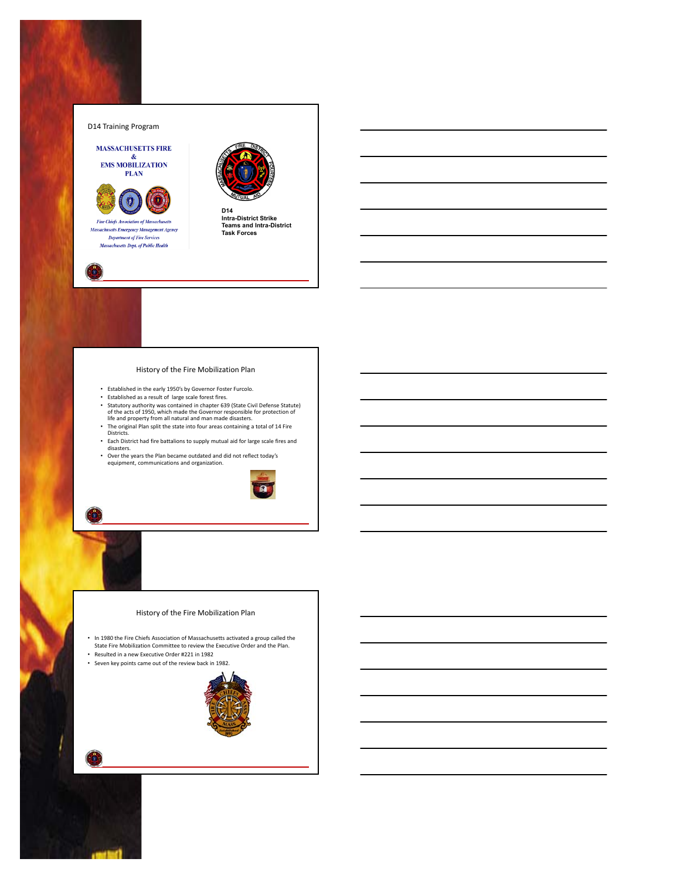

# History of the Fire Mobilization Plan

- Established in the early 1950's by Governor Foster Furcolo.
- 
- Established as a result of large scale forest fires.<br>• Statutory authority was contained in chapter 639 (State Civil Defense Statute)<br>of the acts of 1950, which made the Governor responsible for protection of<br>life and pr
- The original Plan split the state into four areas containing a total of 14 Fire Districts.
- Each District had fire battalions to supply mutual aid for large scale fires and disasters.
- Over the years the Plan became outdated and did not reflect today's equipment, communications and organization.



# History of the Fire Mobilization Plan

• In 1980 the Fire Chiefs Association of Massachusetts activated a group called the State Fire Mobilization Committee to review the Executive Order and the Plan.

- Resulted in a new Executive Order #221 in 1982
- Seven key points came out of the review back in 1982.

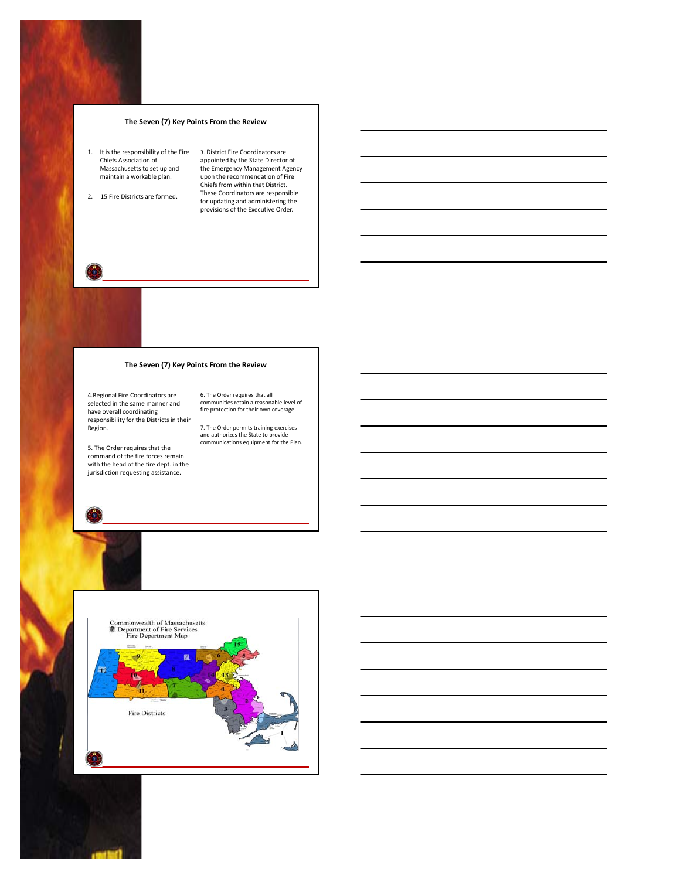# **The Seven (7) Key Points From the Review**

- 1. It is the responsibility of the Fire Chiefs Association of Massachusetts to set up and massacriacecco co sec ep en
- 2. 15 Fire Districts are formed.

3. District Fire Coordinators are appointed by the State Director of the Emergency Management Agency upon the recommendation of Fire Chiefs from within that District. These Coordinators are responsible for updating and administering the provisions of the Executive Order.



# **The Seven (7) Key Points From the Review**

6. The Order requires that all communities retain a reasonable level of fire protection for their own coverage. 7. The Order permits training exercises and authorizes the State to provide communications equipment for the Plan.

4.Regional Fire Coordinators are selected in the same manner and have overall coordinating responsibility for the Districts in their Region.

5. The Order requires that the command of the fire forces remain with the head of the fire dept. in the jurisdiction requesting assistance.



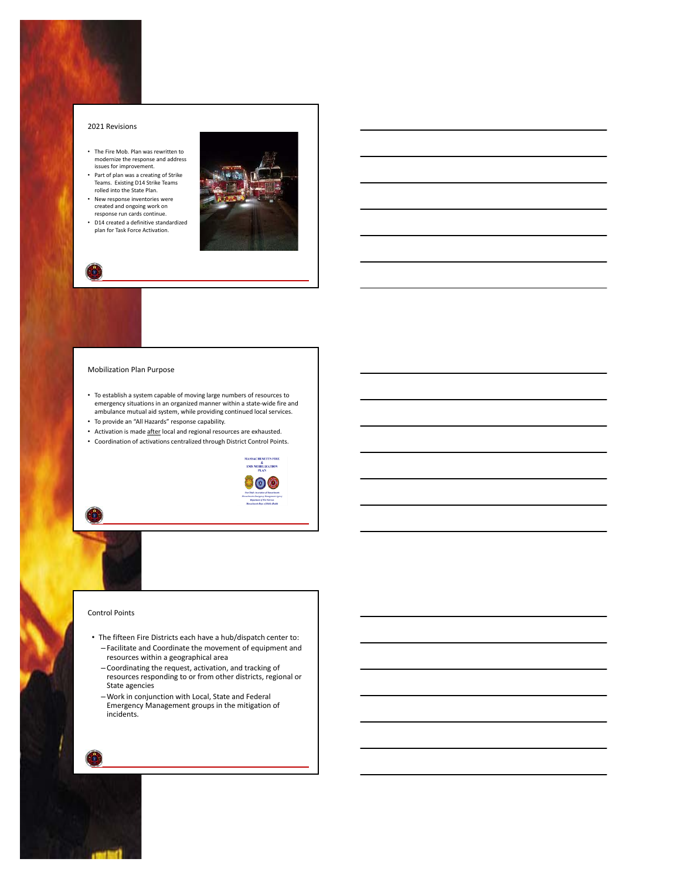#### 2021 Revisions

- The Fire Mob. Plan was rewritten to modernize the response and address issues for improvement.
- Part of plan was a creating of Strike Teams. Existing D14 Strike Teams rolled into the State Plan.
- New response inventories were created and ongoing work on response run cards continue.
- D14 created a definitive standardized plan for Task Force Activation.



### Mobilization Plan Purpose

- To establish a system capable of moving large numbers of resources to emergency situations in an organized manner within a state‐wide fire and ambulance mutual aid system, while providing continued local services.
- To provide an "All Hazards" response capability.
- Activation is made after local and regional resources are exhausted.
- Coordination of activations centralized through District Control Points.

**MASSACHUSETTS FIRE** 

#### Control Points

- The fifteen Fire Districts each have a hub/dispatch center to: – Facilitate and Coordinate the movement of equipment and resources within a geographical area
	- Coordinating the request, activation, and tracking of resources responding to or from other districts, regional or State agencies
	- Work in conjunction with Local, State and Federal Emergency Management groups in the mitigation of incidents.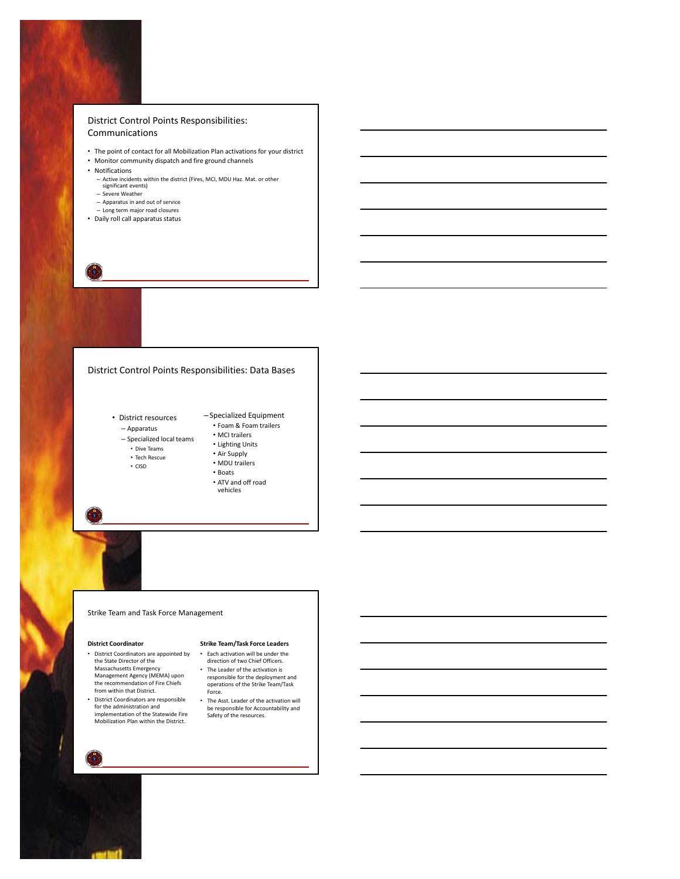

- The point of contact for all Mobilization Plan activations for your district
- Monitor community dispatch and fire ground channels
- Notifications
	- Active incidents within the district (Fires, MCI, MDU Haz. Mat. or other significant events)
	- Severe Weather
	- Apparatus in and out of service
	- Long term major road closures
- Daily roll call apparatus status

# District Control Points Responsibilities: Data Bases

- District resources
	- Apparatus • Foam & Foam trailers • MCI trailers
	- Specialized local teams
		- Dive Teams
	- Tech Rescue
	- CISD
- Air Supply
	- MDU trailers
- Lighting Units
	- Boats • ATV and off road
	- vehicles

– Specialized Equipment

# Strike Team and Task Force Management

#### **District Coordinator**

- District Coordinators are appointed by the State Director of the Massachusetts Emergency Management Agency (MEMA) upon the recommendation of Fire Chiefs from within that District.
- District Coordinators are responsible for the administration and implementation of the Statewide Fire Mobilization Plan within the District.

# **Strike Team/Task Force Leaders**

- Each activation will be under the direction of two Chief Officers. • The Leader of the activation is responsible for the deployment and operations of the Strike Team/Task Force.
- The Asst. Leader of the activation will be responsible for Accountability and Safety of the resources.

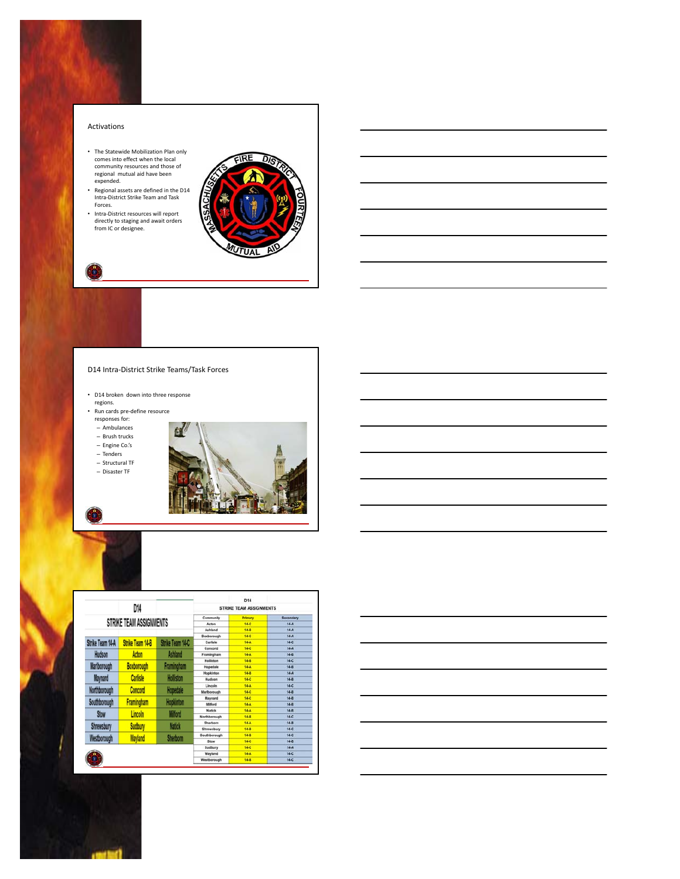### Activations

- The Statewide Mobilization Plan only comes into effect when the local community resources and those of regional mutual aid have been expended.
- Regional assets are defined in the D14 Intra‐District Strike Team and Task Forces.
- Intra‐District resources will report directly to staging and await orders from IC or designee.



# D14 Intra‐District Strike Teams/Task Forces

• D14 broken down into three response

regions.

• Run cards pre‐define resource responses for:

– Ambulances

– Brush trucks

– Engine Co.'s

– Tenders

– Structural TF





|                         |                                       |                  |                         | D <sub>14</sub> |                 |
|-------------------------|---------------------------------------|------------------|-------------------------|-----------------|-----------------|
|                         | D14                                   |                  | STRIKE TEAM ASSIGNMENTS |                 |                 |
| STRIKE TEAM ASSIGNMENTS |                                       |                  | Community               | Primary         | Secondary       |
|                         |                                       |                  | Actors                  | 14-0            | $14-A$          |
|                         |                                       |                  | Ashland                 | 14-8            | $14-A$          |
|                         |                                       |                  | Boxborough              | 14.0            | 14-A            |
| Strike Team 14-A        | <b>Strike Team 14-B</b>               | Strike Team 14-C | Carlisle                | 14-A            | 14.0            |
|                         |                                       |                  | Concord                 | 14-0            | $14-A$          |
| Hudson                  | Acton                                 | <b>Ashland</b>   | Framingham              | 14-A            | 14.8            |
|                         | Boxborough                            | Framingham       | <b>Holliston</b>        | 14-8            | 14.0            |
| <b>Marlborough</b>      |                                       |                  | Hopedale                | 14-A            | 14-8            |
| <b>Maynard</b>          | <b>Carlisle</b>                       | <b>Holliston</b> | Hopkinton               | 14.8            | $14-A$          |
|                         |                                       |                  | Hudson                  | 14-0            | 14.8            |
| Northborough            | <b>Concord</b>                        | Hopedale         | Lincoln                 | 14-A<br>14-0    | 14-0<br>$14-8$  |
|                         |                                       |                  | Marlborough<br>Maynard  | 14.0            | 14.8            |
| Southborough            | <b>Framingham</b><br><b>Hopkinton</b> |                  | Milford                 | 14-A            | $14 - 8$        |
|                         |                                       |                  | Natiok                  | 14-A            | $14-8$          |
| Stow                    | <b>Lincoln</b>                        | <b>Milford</b>   | Northborough            | 14-8            | 14.0            |
|                         |                                       |                  | Sherborn                | 14-A            | $14 - 8$        |
| Shrewsbury              | Sudbury                               | <b>Natick</b>    | Shrewsbury              | 14-8            | 14.0            |
|                         | Westborough<br>Wayland                |                  | Southborough            | 14-8            | 14-0            |
|                         |                                       | <b>Sherborn</b>  | Stow                    | 14-0            | $14-8$          |
|                         |                                       |                  | Sudbury                 | 14-0            | $14-A$          |
|                         |                                       |                  | Wayland                 | 14-A            | 14 <sup>o</sup> |
|                         |                                       |                  | Westborough             | 14-8            | 14.0            |

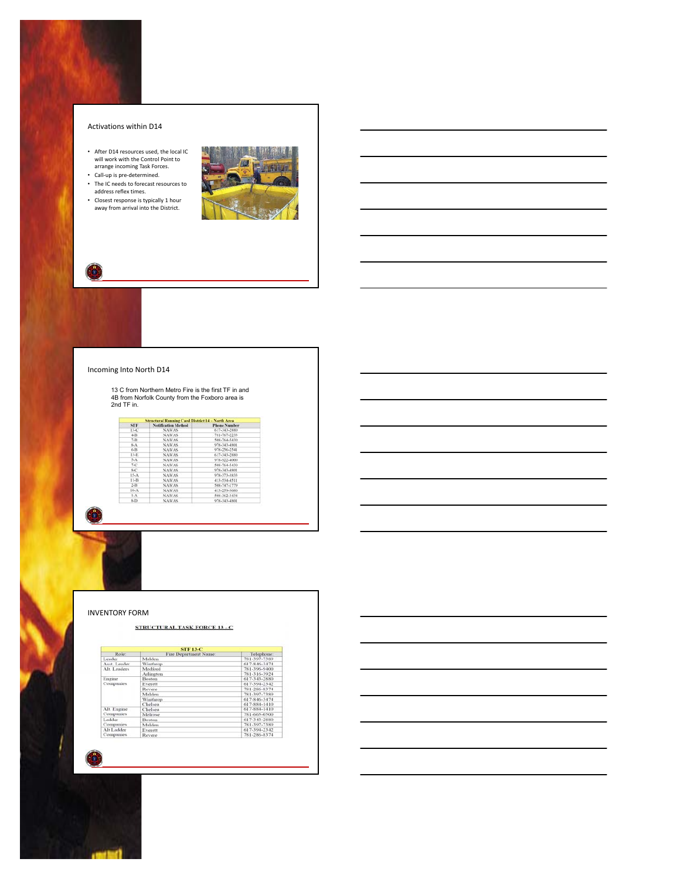### Activations within D14

- After D14 resources used, the local IC will work with the Control Point to arrange incoming Task Forces. Call‐up is pre‐determined.
- 
- The IC needs to forecast resources to address reflex times.
- Closest response is typically 1 hour away from arrival into the District.



# Incoming Into North D14

13 C from Northern Metro Fire is the first TF in and 4B from Norfolk County from the Foxboro area is 2nd TF in.

| <b>STF</b> | <b>Notification Method</b> | <b>Phone Number</b> |  |
|------------|----------------------------|---------------------|--|
| $13-C$     | <b>NAWAS</b>               | 617-343-2880        |  |
| $4 - B$    | <b>NAWAS</b>               | 781-767-2233        |  |
| $7 - B$    | <b>NAWAS</b>               | 508-764-5430        |  |
| 8.1        | <b>NAWAS</b>               | 978,343,4801        |  |
| $6-13$     | <b>NAWAS</b>               | 978-256-2541        |  |
| $13-E$     | NAWAS.                     | 617-343-2880        |  |
| $5-A$      | <b>NAWAS</b>               | 978-922-4000        |  |
| 74C        | NAWAS.                     | 508-764-5430        |  |
| 8-C        | <b>NAWAS</b>               | 978-343-4801        |  |
| $15-A$     | <b>NAWAS</b>               | 978-171-3811        |  |
| $11 - B$   | <b>NAWAS</b>               | 413-534-4511        |  |
| $2-H$      | <b>NAWAS</b>               | 508-747-1779        |  |
| $10-A$     | <b>NAWAS</b>               | 413-259-3080        |  |
| $1-A$      | <b>NAWAS</b>               | 508-362-3434        |  |
| $8-12$     | <b>NAWAS</b>               | 978-343-4801        |  |

### INVENTORY FORM

### **STRUCTURAL TASK FORCE 13 - C**

| <b>STF 13-C</b>          |                       |              |  |  |
|--------------------------|-----------------------|--------------|--|--|
| Role:                    | Fire Department Name: | Telephone:   |  |  |
| Leader                   | Malden                | 781-397-7389 |  |  |
| Asst. Leader             | Winthrop              | 617-846-3474 |  |  |
| Alt. Leaders             | Medford               | 781-396-9400 |  |  |
|                          | Arlington             | 781-316-3924 |  |  |
| Engine                   | <b>Boston</b>         | 617-343-2880 |  |  |
| Companies                | Everett               | 617-394-2342 |  |  |
|                          | Revere                | 781-286-8374 |  |  |
|                          | Malden                | 781-397-7389 |  |  |
|                          | Winthrop              | 617-846-3474 |  |  |
|                          | Chelsea               | 617-884-1410 |  |  |
| Alt. Engine<br>Companies | Chelsea               | 617-884-1410 |  |  |
|                          | Melrose               | 781-665-0500 |  |  |
| Ladder<br>Companies      | Boston                | 617-343-2880 |  |  |
|                          | Malden                | 781-397-7389 |  |  |
| Alt Ladder<br>Companies  | Everett               | 617-394-2342 |  |  |
|                          | Revere                | 781-286-8374 |  |  |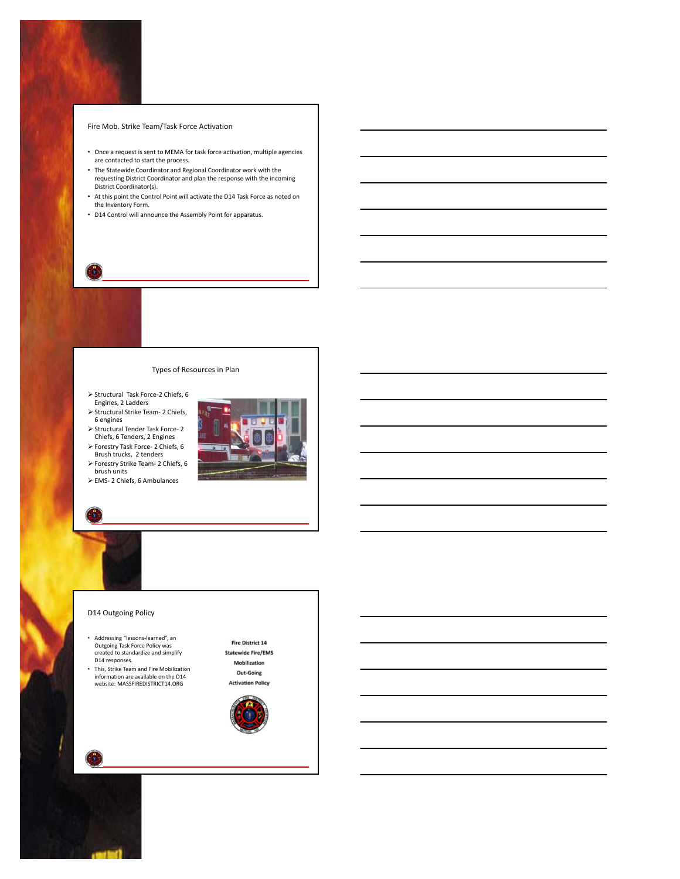### Fire Mob. Strike Team/Task Force Activation

- Once a request is sent to MEMA for task force activation, multiple agencies are contacted to start the process.
- The Statewide Coordinator and Regional Coordinator work with the requesting District Coordinator and plan the response with the incoming District Coordinator(s).
- At this point the Control Point will activate the D14 Task Force as noted on the Inventory Form.
- D14 Control will announce the Assembly Point for apparatus.

# Types of Resources in Plan

- ▶ Structural Task Force-2 Chiefs, 6 Engines, 2 Ladders
- ▶ Structural Strike Team- 2 Chiefs, 6 engines
- Structural Tender Task Force‐ 2 Chiefs, 6 Tenders, 2 Engines
- Forestry Task Force‐ 2 Chiefs, 6 Brush trucks, 2 tenders
- Forestry Strike Team‐ 2 Chiefs, 6 brush units
- EMS‐ 2 Chiefs, 6 Ambulances



# D14 Outgoing Policy

- Addressing "lessons‐learned", an Outgoing Task Force Policy was created to standardize and simplify D14 responses.
- This, Strike Team and Fire Mobilization information are available on the D14 website: MASSFIREDISTRICT14.ORG

Fire District 14 **Statewide Fire/EMS** Mobilization Out-Going **Activation Policy** 

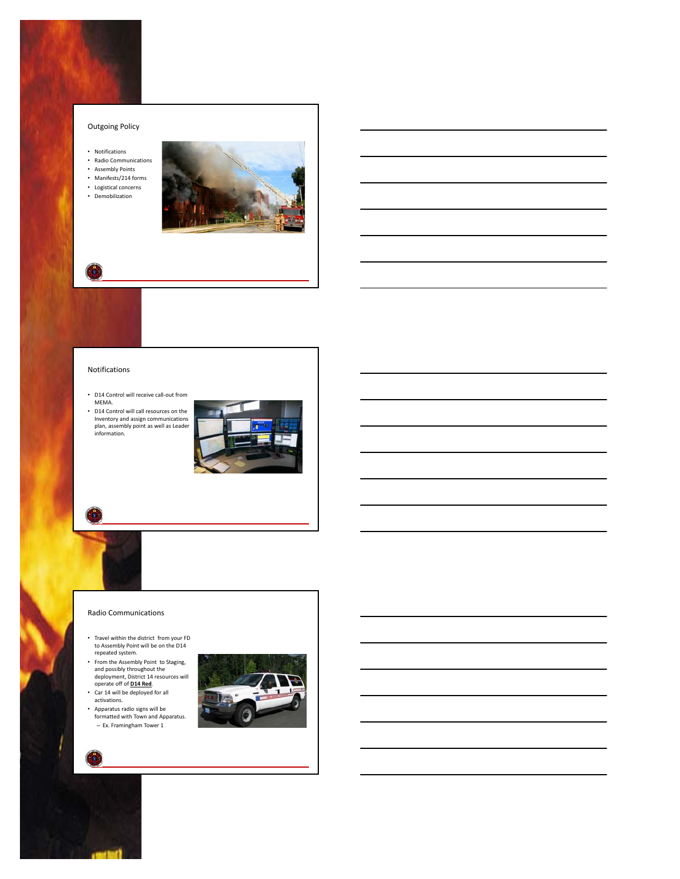# Outgoing Policy

- Notifications
- Radio Communications Assembly Points
- 
- Manifests/214 forms • Logistical concerns
- Demobilization



# Notifications

- D14 Control will receive call‐out from MEMA.
- D14 Control will call resources on the Inventory and assign communications plan, assembly point as well as Leader information.



#### Radio Communications

- Travel within the district from your FD to Assembly Point will be on the D14 repeated system.
- From the Assembly Point to Staging, and possibly throughout the deployment, District 14 resources will operate off of **D14 Red**.
- Car 14 will be deployed for all activations.
- Apparatus radio signs will be formatted with Town and Apparatus. – Ex. Framingham Tower 1



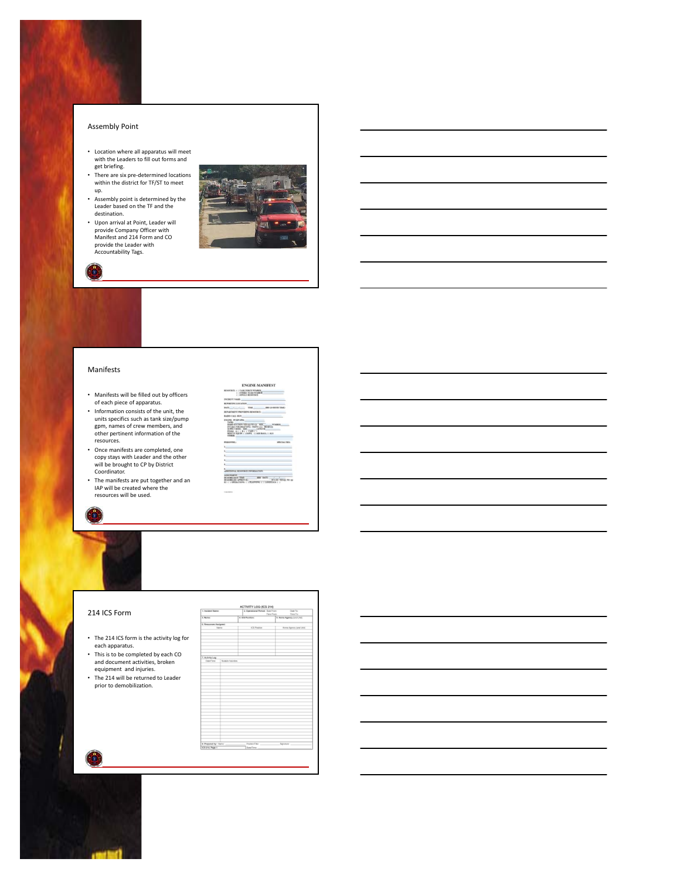### Assembly Point

- Location where all apparatus will meet with the Leaders to fill out forms and get briefing.
- There are six pre‐determined locations within the district for TF/ST to meet up.
- Assembly point is determined by the Leader based on the TF and the destination.
- Upon arrival at Point, Leader will provide Company Officer with Manifest and 214 Form and CO provide the Leader with Accountability Tags.



# Manifests

- Manifests will be filled out by officers of each piece of apparatus.
- Information consists of the unit, the units specifics such as tank size/pump gpm, names of crew members, and other pertinent information of the resources.
- Once manifests are completed, one copy stays with Leader and the other will be brought to CP by District Coordinator.
- The manifests are put together and an IAP will be created where the resources will be used.



**ENGINE-MANIFEST** 

### 214 ICS Form

- The 214 ICS form is the activity log for each apparatus.
- This is to be completed by each CO and document activities, broken equipment and injuries.
- The 214 will be returned to Leader prior to demobilization.

| 4. Installated States |                                         | 1 Commissed Period: Sure From | Open To                      |
|-----------------------|-----------------------------------------|-------------------------------|------------------------------|
|                       |                                         |                               | <b>Time From:</b><br>Text To |
| 1 Note:               |                                         | 4. ES Paulbon                 | 5. Willie Agenda (UNITURE)   |
| 6. Emourses Assigned  |                                         |                               |                              |
|                       | highway                                 | Cli Positian                  | <b>Huma Agency june Link</b> |
|                       |                                         |                               |                              |
|                       |                                         |                               |                              |
|                       |                                         |                               |                              |
|                       |                                         |                               |                              |
| 7. Indeta Log         |                                         |                               |                              |
| Celefine              | <b>Gradule Automaker</b>                |                               |                              |
|                       |                                         |                               |                              |
|                       |                                         |                               |                              |
|                       |                                         |                               |                              |
|                       |                                         |                               |                              |
|                       |                                         |                               |                              |
|                       |                                         |                               |                              |
|                       |                                         |                               |                              |
|                       |                                         |                               |                              |
|                       |                                         |                               |                              |
|                       |                                         |                               |                              |
|                       |                                         |                               |                              |
|                       |                                         |                               |                              |
|                       |                                         |                               |                              |
|                       |                                         |                               |                              |
|                       |                                         |                               |                              |
|                       |                                         |                               |                              |
|                       |                                         |                               |                              |
|                       |                                         |                               |                              |
|                       |                                         |                               |                              |
|                       |                                         |                               |                              |
|                       |                                         |                               |                              |
|                       |                                         |                               |                              |
|                       |                                         |                               |                              |
|                       |                                         |                               |                              |
|                       |                                         |                               |                              |
|                       |                                         |                               |                              |
|                       |                                         | ParkerFile                    |                              |
|                       | 8 Prepared by Tibric<br>IGA 214, Page 1 |                               | <b>Norwhele</b>              |
|                       |                                         | <b>LevText</b>                |                              |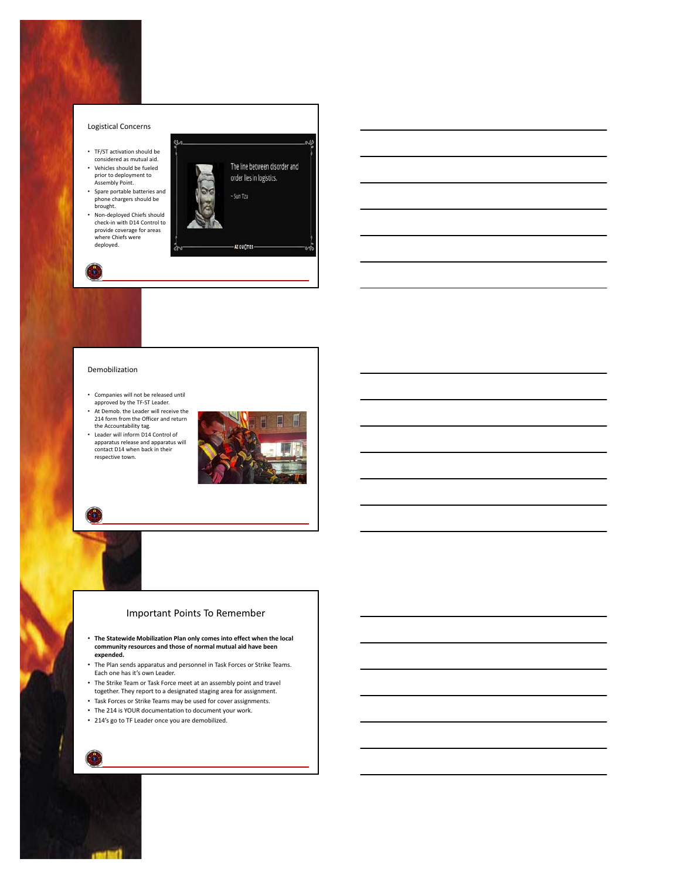

# Demobilization

- Companies will not be released until approved by the TF‐ST Leader.
- At Demob. the Leader will receive the 214 form from the Officer and return the Accountability tag.
- Leader will inform D14 Control of apparatus release and apparatus will contact D14 when back in their respective town.



# Important Points To Remember

- **The Statewide Mobilization Plan only comes into effect when the local community resources and those of normal mutual aid have been expended.**
- The Plan sends apparatus and personnel in Task Forces or Strike Teams. Each one has it's own Leader.
- The Strike Team or Task Force meet at an assembly point and travel
- together. They report to a designated staging area for assignment.
- Task Forces or Strike Teams may be used for cover assignments.
- The 214 is YOUR documentation to document your work.
- 214's go to TF Leader once you are demobilized.